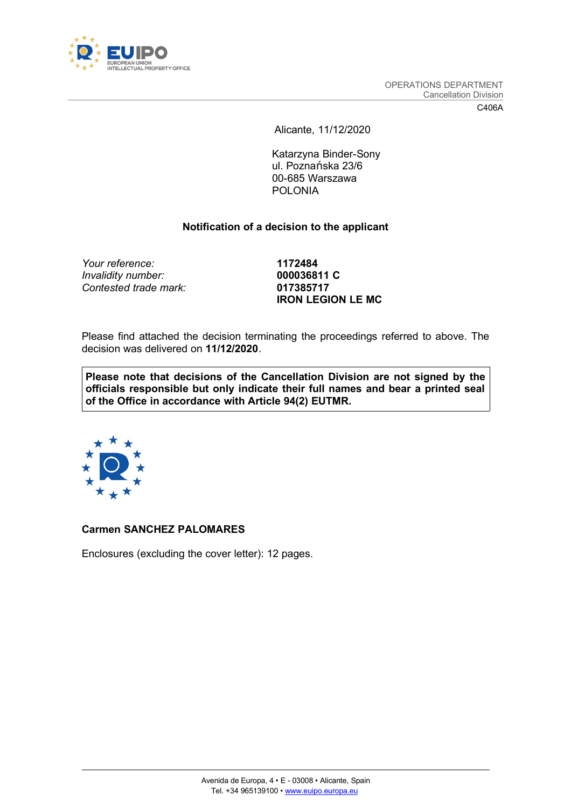

Alicante, 11/12/2020

Katarzyna Binder-Sony ul. Poznańska 23/6 00-685 Warszawa POLONIA

## **Notification of a decision to the applicant**

*Your reference:* **1172484** *Invalidity number:* **000036811 C** *Contested trade mark:* **017385717**

**IRON LEGION LE MC**

Please find attached the decision terminating the proceedings referred to above. The decision was delivered on **11/12/2020**.

**Please note that decisions of the Cancellation Division are not signed by the officials responsible but only indicate their full names and bear a printed seal of the Office in accordance with Article 94(2) EUTMR.**



## **Carmen SANCHEZ PALOMARES**

Enclosures (excluding the cover letter): 12 pages.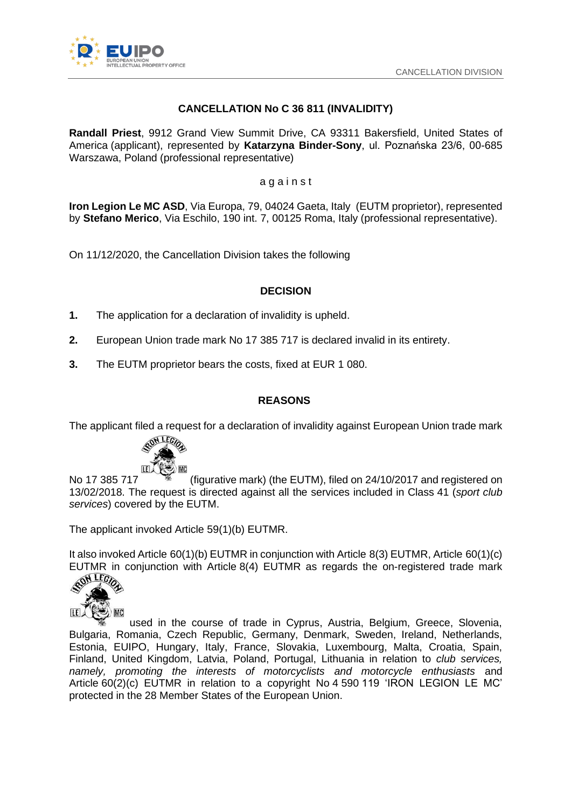

# **CANCELLATION No C 36 811 (INVALIDITY)**

**Randall Priest**, 9912 Grand View Summit Drive, CA 93311 Bakersfield, United States of America (applicant), represented by **Katarzyna Binder-Sony**, ul. Poznańska 23/6, 00-685 Warszawa, Poland (professional representative)

#### a g a i n s t

**Iron Legion Le MC ASD**, Via Europa, 79, 04024 Gaeta, Italy (EUTM proprietor), represented by **Stefano Merico**, Via Eschilo, 190 int. 7, 00125 Roma, Italy (professional representative).

On 11/12/2020, the Cancellation Division takes the following

## **DECISION**

- **1.** The application for a declaration of invalidity is upheld.
- **2.** European Union trade mark No 17 385 717 is declared invalid in its entirety.
- **3.** The EUTM proprietor bears the costs, fixed at EUR 1 080.

#### **REASONS**

The applicant filed a request for a declaration of invalidity against European Union trade mark



No 17 385 717 (figurative mark) (the EUTM), filed on 24/10/2017 and registered on 13/02/2018. The request is directed against all the services included in Class 41 (*sport club services*) covered by the EUTM.

The applicant invoked Article 59(1)(b) EUTMR.

It also invoked Article 60(1)(b) EUTMR in conjunction with Article 8(3) EUTMR, Article 60(1)(c) EUTMR in conjunction with Article 8(4) EUTMR as regards the on-registered trade mark<br>  $\bigotimes_{k=1}^{\infty}$ 



used in the course of trade in Cyprus, Austria, Belgium, Greece, Slovenia, Bulgaria, Romania, Czech Republic, Germany, Denmark, Sweden, Ireland, Netherlands, Estonia, EUIPO, Hungary, Italy, France, Slovakia, Luxembourg, Malta, Croatia, Spain, Finland, United Kingdom, Latvia, Poland, Portugal, Lithuania in relation to *club services, namely, promoting the interests of motorcyclists and motorcycle enthusiasts* and Article 60(2)(c) EUTMR in relation to a copyright No 4 590 119 'IRON LEGION LE MC' protected in the 28 Member States of the European Union.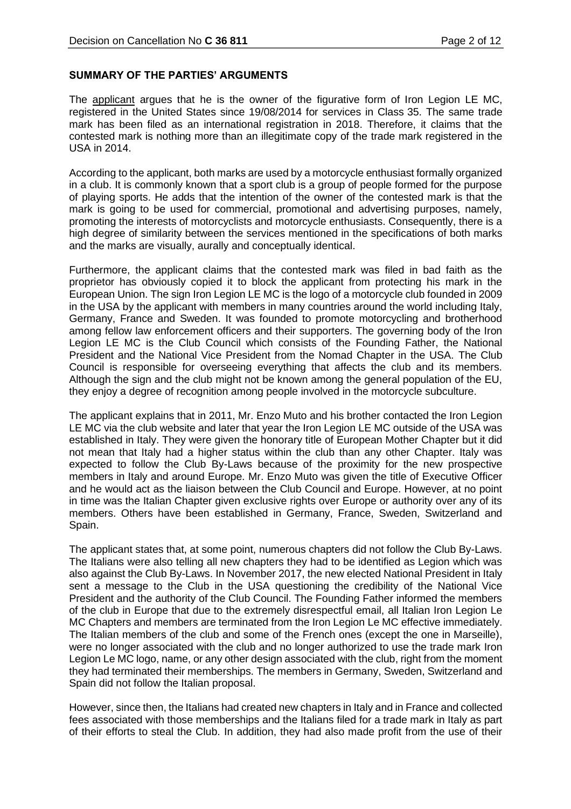#### **SUMMARY OF THE PARTIES' ARGUMENTS**

The applicant argues that he is the owner of the figurative form of Iron Legion LE MC, registered in the United States since 19/08/2014 for services in Class 35. The same trade mark has been filed as an international registration in 2018. Therefore, it claims that the contested mark is nothing more than an illegitimate copy of the trade mark registered in the USA in 2014.

According to the applicant, both marks are used by a motorcycle enthusiast formally organized in a club. It is commonly known that a sport club is a group of people formed for the purpose of playing sports. He adds that the intention of the owner of the contested mark is that the mark is going to be used for commercial, promotional and advertising purposes, namely, promoting the interests of motorcyclists and motorcycle enthusiasts. Consequently, there is a high degree of similarity between the services mentioned in the specifications of both marks and the marks are visually, aurally and conceptually identical.

Furthermore, the applicant claims that the contested mark was filed in bad faith as the proprietor has obviously copied it to block the applicant from protecting his mark in the European Union. The sign Iron Legion LE MC is the logo of a motorcycle club founded in 2009 in the USA by the applicant with members in many countries around the world including Italy, Germany, France and Sweden. It was founded to promote motorcycling and brotherhood among fellow law enforcement officers and their supporters. The governing body of the Iron Legion LE MC is the Club Council which consists of the Founding Father, the National President and the National Vice President from the Nomad Chapter in the USA. The Club Council is responsible for overseeing everything that affects the club and its members. Although the sign and the club might not be known among the general population of the EU, they enjoy a degree of recognition among people involved in the motorcycle subculture.

The applicant explains that in 2011, Mr. Enzo Muto and his brother contacted the Iron Legion LE MC via the club website and later that year the Iron Legion LE MC outside of the USA was established in Italy. They were given the honorary title of European Mother Chapter but it did not mean that Italy had a higher status within the club than any other Chapter. Italy was expected to follow the Club By-Laws because of the proximity for the new prospective members in Italy and around Europe. Mr. Enzo Muto was given the title of Executive Officer and he would act as the liaison between the Club Council and Europe. However, at no point in time was the Italian Chapter given exclusive rights over Europe or authority over any of its members. Others have been established in Germany, France, Sweden, Switzerland and Spain.

The applicant states that, at some point, numerous chapters did not follow the Club By-Laws. The Italians were also telling all new chapters they had to be identified as Legion which was also against the Club By-Laws. In November 2017, the new elected National President in Italy sent a message to the Club in the USA questioning the credibility of the National Vice President and the authority of the Club Council. The Founding Father informed the members of the club in Europe that due to the extremely disrespectful email, all Italian Iron Legion Le MC Chapters and members are terminated from the Iron Legion Le MC effective immediately. The Italian members of the club and some of the French ones (except the one in Marseille), were no longer associated with the club and no longer authorized to use the trade mark Iron Legion Le MC logo, name, or any other design associated with the club, right from the moment they had terminated their memberships. The members in Germany, Sweden, Switzerland and Spain did not follow the Italian proposal.

However, since then, the Italians had created new chapters in Italy and in France and collected fees associated with those memberships and the Italians filed for a trade mark in Italy as part of their efforts to steal the Club. In addition, they had also made profit from the use of their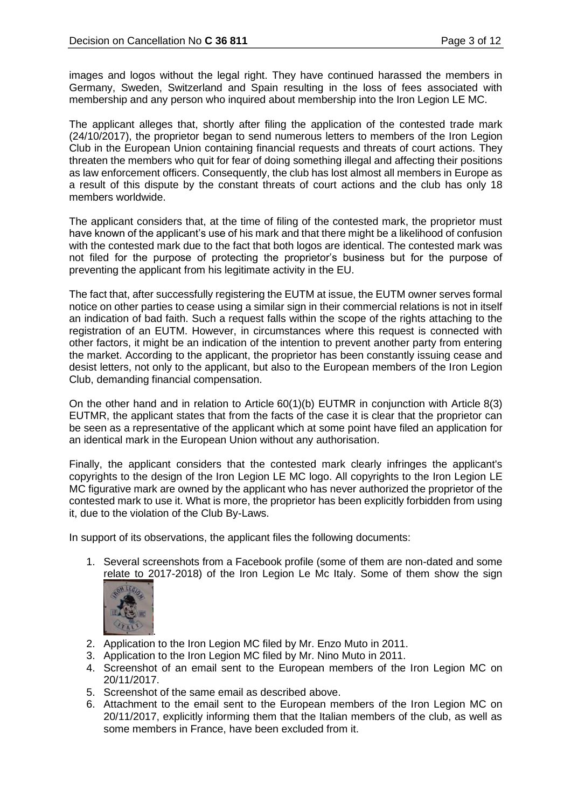images and logos without the legal right. They have continued harassed the members in Germany, Sweden, Switzerland and Spain resulting in the loss of fees associated with membership and any person who inquired about membership into the Iron Legion LE MC.

The applicant alleges that, shortly after filing the application of the contested trade mark (24/10/2017), the proprietor began to send numerous letters to members of the Iron Legion Club in the European Union containing financial requests and threats of court actions. They threaten the members who quit for fear of doing something illegal and affecting their positions as law enforcement officers. Consequently, the club has lost almost all members in Europe as a result of this dispute by the constant threats of court actions and the club has only 18 members worldwide.

The applicant considers that, at the time of filing of the contested mark, the proprietor must have known of the applicant's use of his mark and that there might be a likelihood of confusion with the contested mark due to the fact that both logos are identical. The contested mark was not filed for the purpose of protecting the proprietor's business but for the purpose of preventing the applicant from his legitimate activity in the EU.

The fact that, after successfully registering the EUTM at issue, the EUTM owner serves formal notice on other parties to cease using a similar sign in their commercial relations is not in itself an indication of bad faith. Such a request falls within the scope of the rights attaching to the registration of an EUTM. However, in circumstances where this request is connected with other factors, it might be an indication of the intention to prevent another party from entering the market. According to the applicant, the proprietor has been constantly issuing cease and desist letters, not only to the applicant, but also to the European members of the Iron Legion Club, demanding financial compensation.

On the other hand and in relation to Article 60(1)(b) EUTMR in conjunction with Article 8(3) EUTMR, the applicant states that from the facts of the case it is clear that the proprietor can be seen as a representative of the applicant which at some point have filed an application for an identical mark in the European Union without any authorisation.

Finally, the applicant considers that the contested mark clearly infringes the applicant's copyrights to the design of the Iron Legion LE MC logo. All copyrights to the Iron Legion LE MC figurative mark are owned by the applicant who has never authorized the proprietor of the contested mark to use it. What is more, the proprietor has been explicitly forbidden from using it, due to the violation of the Club By-Laws.

In support of its observations, the applicant files the following documents:

1. Several screenshots from a Facebook profile (some of them are non-dated and some relate to 2017-2018) of the Iron Legion Le Mc Italy. Some of them show the sign



- 2. Application to the Iron Legion MC filed by Mr. Enzo Muto in 2011.
- 3. Application to the Iron Legion MC filed by Mr. Nino Muto in 2011.
- 4. Screenshot of an email sent to the European members of the Iron Legion MC on 20/11/2017.
- 5. Screenshot of the same email as described above.
- 6. Attachment to the email sent to the European members of the Iron Legion MC on 20/11/2017, explicitly informing them that the Italian members of the club, as well as some members in France, have been excluded from it.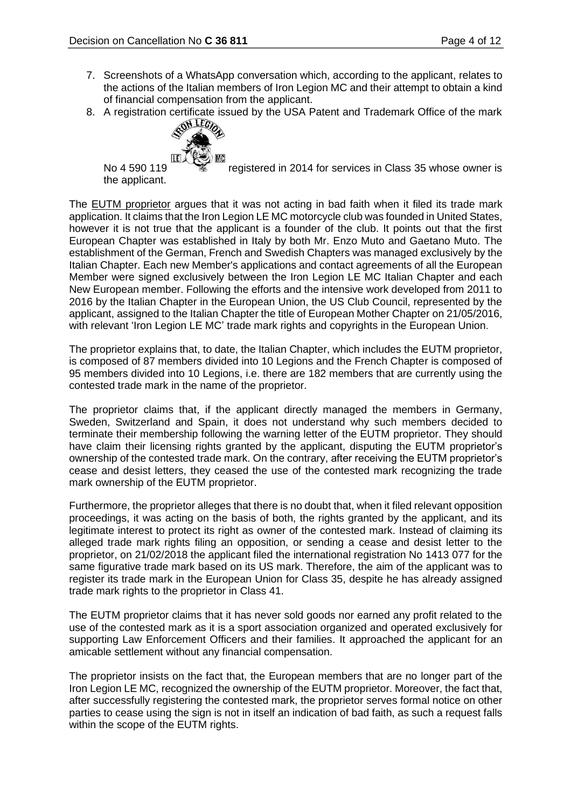- 7. Screenshots of a WhatsApp conversation which, according to the applicant, relates to the actions of the Italian members of Iron Legion MC and their attempt to obtain a kind of financial compensation from the applicant.
- 8. A registration certificate issued by the USA Patent and Trademark Office of the mark



the applicant.

No 4 590 119 registered in 2014 for services in Class 35 whose owner is

The EUTM proprietor argues that it was not acting in bad faith when it filed its trade mark application. It claims that the Iron Legion LE MC motorcycle club was founded in United States, however it is not true that the applicant is a founder of the club. It points out that the first European Chapter was established in Italy by both Mr. Enzo Muto and Gaetano Muto. The establishment of the German, French and Swedish Chapters was managed exclusively by the Italian Chapter. Each new Member's applications and contact agreements of all the European Member were signed exclusively between the Iron Legion LE MC Italian Chapter and each New European member. Following the efforts and the intensive work developed from 2011 to 2016 by the Italian Chapter in the European Union, the US Club Council, represented by the applicant, assigned to the Italian Chapter the title of European Mother Chapter on 21/05/2016, with relevant 'Iron Legion LE MC' trade mark rights and copyrights in the European Union.

The proprietor explains that, to date, the Italian Chapter, which includes the EUTM proprietor, is composed of 87 members divided into 10 Legions and the French Chapter is composed of 95 members divided into 10 Legions, i.e. there are 182 members that are currently using the contested trade mark in the name of the proprietor.

The proprietor claims that, if the applicant directly managed the members in Germany, Sweden, Switzerland and Spain, it does not understand why such members decided to terminate their membership following the warning letter of the EUTM proprietor. They should have claim their licensing rights granted by the applicant, disputing the EUTM proprietor's ownership of the contested trade mark. On the contrary, after receiving the EUTM proprietor's cease and desist letters, they ceased the use of the contested mark recognizing the trade mark ownership of the EUTM proprietor.

Furthermore, the proprietor alleges that there is no doubt that, when it filed relevant opposition proceedings, it was acting on the basis of both, the rights granted by the applicant, and its legitimate interest to protect its right as owner of the contested mark. Instead of claiming its alleged trade mark rights filing an opposition, or sending a cease and desist letter to the proprietor, on 21/02/2018 the applicant filed the international registration No 1413 077 for the same figurative trade mark based on its US mark. Therefore, the aim of the applicant was to register its trade mark in the European Union for Class 35, despite he has already assigned trade mark rights to the proprietor in Class 41.

The EUTM proprietor claims that it has never sold goods nor earned any profit related to the use of the contested mark as it is a sport association organized and operated exclusively for supporting Law Enforcement Officers and their families. It approached the applicant for an amicable settlement without any financial compensation.

The proprietor insists on the fact that, the European members that are no longer part of the Iron Legion LE MC, recognized the ownership of the EUTM proprietor. Moreover, the fact that, after successfully registering the contested mark, the proprietor serves formal notice on other parties to cease using the sign is not in itself an indication of bad faith, as such a request falls within the scope of the EUTM rights.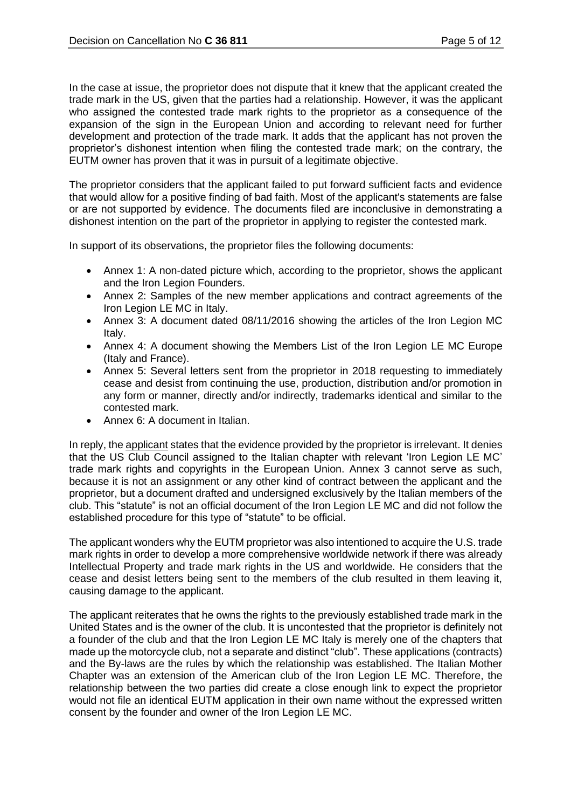In the case at issue, the proprietor does not dispute that it knew that the applicant created the trade mark in the US, given that the parties had a relationship. However, it was the applicant who assigned the contested trade mark rights to the proprietor as a consequence of the expansion of the sign in the European Union and according to relevant need for further development and protection of the trade mark. It adds that the applicant has not proven the proprietor's dishonest intention when filing the contested trade mark; on the contrary, the EUTM owner has proven that it was in pursuit of a legitimate objective.

The proprietor considers that the applicant failed to put forward sufficient facts and evidence that would allow for a positive finding of bad faith. Most of the applicant's statements are false or are not supported by evidence. The documents filed are inconclusive in demonstrating a dishonest intention on the part of the proprietor in applying to register the contested mark.

In support of its observations, the proprietor files the following documents:

- Annex 1: A non-dated picture which, according to the proprietor, shows the applicant and the Iron Legion Founders.
- Annex 2: Samples of the new member applications and contract agreements of the Iron Legion LE MC in Italy.
- Annex 3: A document dated 08/11/2016 showing the articles of the Iron Legion MC Italy.
- Annex 4: A document showing the Members List of the Iron Legion LE MC Europe (Italy and France).
- Annex 5: Several letters sent from the proprietor in 2018 requesting to immediately cease and desist from continuing the use, production, distribution and/or promotion in any form or manner, directly and/or indirectly, trademarks identical and similar to the contested mark.
- Annex 6: A document in Italian.

In reply, the applicant states that the evidence provided by the proprietor is irrelevant. It denies that the US Club Council assigned to the Italian chapter with relevant 'Iron Legion LE MC' trade mark rights and copyrights in the European Union. Annex 3 cannot serve as such, because it is not an assignment or any other kind of contract between the applicant and the proprietor, but a document drafted and undersigned exclusively by the Italian members of the club. This "statute" is not an official document of the Iron Legion LE MC and did not follow the established procedure for this type of "statute" to be official.

The applicant wonders why the EUTM proprietor was also intentioned to acquire the U.S. trade mark rights in order to develop a more comprehensive worldwide network if there was already Intellectual Property and trade mark rights in the US and worldwide. He considers that the cease and desist letters being sent to the members of the club resulted in them leaving it, causing damage to the applicant.

The applicant reiterates that he owns the rights to the previously established trade mark in the United States and is the owner of the club. It is uncontested that the proprietor is definitely not a founder of the club and that the Iron Legion LE MC Italy is merely one of the chapters that made up the motorcycle club, not a separate and distinct "club". These applications (contracts) and the By-laws are the rules by which the relationship was established. The Italian Mother Chapter was an extension of the American club of the Iron Legion LE MC. Therefore, the relationship between the two parties did create a close enough link to expect the proprietor would not file an identical EUTM application in their own name without the expressed written consent by the founder and owner of the Iron Legion LE MC.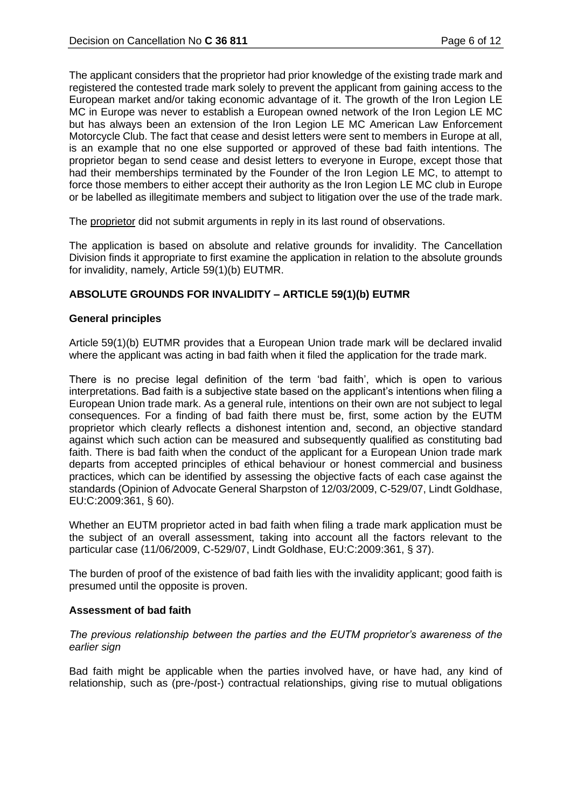The applicant considers that the proprietor had prior knowledge of the existing trade mark and registered the contested trade mark solely to prevent the applicant from gaining access to the European market and/or taking economic advantage of it. The growth of the Iron Legion LE MC in Europe was never to establish a European owned network of the Iron Legion LE MC but has always been an extension of the Iron Legion LE MC American Law Enforcement Motorcycle Club. The fact that cease and desist letters were sent to members in Europe at all, is an example that no one else supported or approved of these bad faith intentions. The proprietor began to send cease and desist letters to everyone in Europe, except those that had their memberships terminated by the Founder of the Iron Legion LE MC, to attempt to force those members to either accept their authority as the Iron Legion LE MC club in Europe or be labelled as illegitimate members and subject to litigation over the use of the trade mark.

The proprietor did not submit arguments in reply in its last round of observations.

The application is based on absolute and relative grounds for invalidity. The Cancellation Division finds it appropriate to first examine the application in relation to the absolute grounds for invalidity, namely, Article 59(1)(b) EUTMR.

## **ABSOLUTE GROUNDS FOR INVALIDITY – ARTICLE 59(1)(b) EUTMR**

## **General principles**

Article 59(1)(b) EUTMR provides that a European Union trade mark will be declared invalid where the applicant was acting in bad faith when it filed the application for the trade mark.

There is no precise legal definition of the term 'bad faith', which is open to various interpretations. Bad faith is a subjective state based on the applicant's intentions when filing a European Union trade mark. As a general rule, intentions on their own are not subject to legal consequences. For a finding of bad faith there must be, first, some action by the EUTM proprietor which clearly reflects a dishonest intention and, second, an objective standard against which such action can be measured and subsequently qualified as constituting bad faith. There is bad faith when the conduct of the applicant for a European Union trade mark departs from accepted principles of ethical behaviour or honest commercial and business practices, which can be identified by assessing the objective facts of each case against the standards (Opinion of Advocate General Sharpston of 12/03/2009, C-529/07, Lindt Goldhase, EU:C:2009:361, § 60).

Whether an EUTM proprietor acted in bad faith when filing a trade mark application must be the subject of an overall assessment, taking into account all the factors relevant to the particular case (11/06/2009, C-529/07, Lindt Goldhase, EU:C:2009:361, § 37).

The burden of proof of the existence of bad faith lies with the invalidity applicant; good faith is presumed until the opposite is proven.

## **Assessment of bad faith**

## *The previous relationship between the parties and the EUTM proprietor's awareness of the earlier sign*

Bad faith might be applicable when the parties involved have, or have had, any kind of relationship, such as (pre-/post-) contractual relationships, giving rise to mutual obligations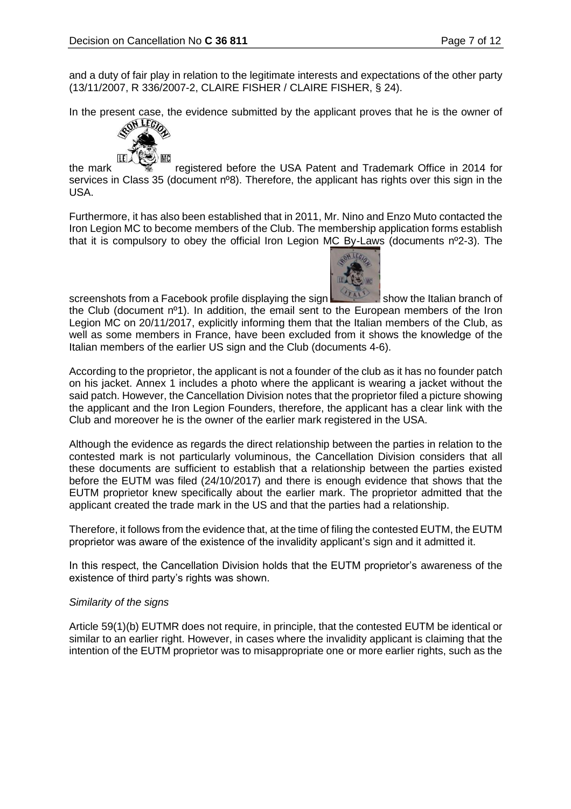and a duty of fair play in relation to the legitimate interests and expectations of the other party (13/11/2007, R 336/2007-2, CLAIRE FISHER / CLAIRE FISHER, § 24).

In the present case, the evidence submitted by the applicant proves that he is the owner of



the mark registered before the USA Patent and Trademark Office in 2014 for services in Class 35 (document n<sup>o</sup>8). Therefore, the applicant has rights over this sign in the USA.

Furthermore, it has also been established that in 2011, Mr. Nino and Enzo Muto contacted the Iron Legion MC to become members of the Club. The membership application forms establish that it is compulsory to obey the official Iron Legion MC By-Laws (documents nº2-3). The



screenshots from a Facebook profile displaying the sign show the Italian branch of the Club (document nº1). In addition, the email sent to the European members of the Iron Legion MC on 20/11/2017, explicitly informing them that the Italian members of the Club, as well as some members in France, have been excluded from it shows the knowledge of the Italian members of the earlier US sign and the Club (documents 4-6).

According to the proprietor, the applicant is not a founder of the club as it has no founder patch on his jacket. Annex 1 includes a photo where the applicant is wearing a jacket without the said patch. However, the Cancellation Division notes that the proprietor filed a picture showing the applicant and the Iron Legion Founders, therefore, the applicant has a clear link with the Club and moreover he is the owner of the earlier mark registered in the USA.

Although the evidence as regards the direct relationship between the parties in relation to the contested mark is not particularly voluminous, the Cancellation Division considers that all these documents are sufficient to establish that a relationship between the parties existed before the EUTM was filed (24/10/2017) and there is enough evidence that shows that the EUTM proprietor knew specifically about the earlier mark. The proprietor admitted that the applicant created the trade mark in the US and that the parties had a relationship.

Therefore, it follows from the evidence that, at the time of filing the contested EUTM, the EUTM proprietor was aware of the existence of the invalidity applicant's sign and it admitted it.

In this respect, the Cancellation Division holds that the EUTM proprietor's awareness of the existence of third party's rights was shown.

## *Similarity of the signs*

Article 59(1)(b) EUTMR does not require, in principle, that the contested EUTM be identical or similar to an earlier right. However, in cases where the invalidity applicant is claiming that the intention of the EUTM proprietor was to misappropriate one or more earlier rights, such as the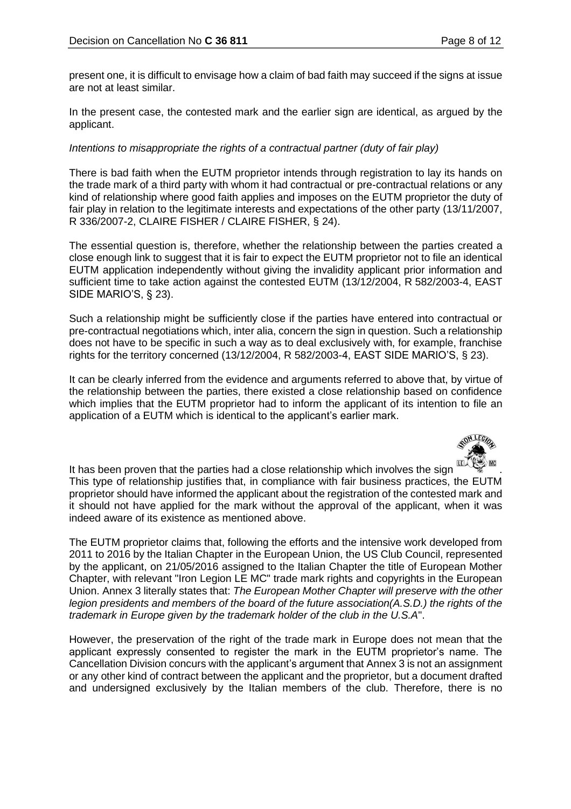present one, it is difficult to envisage how a claim of bad faith may succeed if the signs at issue are not at least similar.

In the present case, the contested mark and the earlier sign are identical, as argued by the applicant.

#### *Intentions to misappropriate the rights of a contractual partner (duty of fair play)*

There is bad faith when the EUTM proprietor intends through registration to lay its hands on the trade mark of a third party with whom it had contractual or pre-contractual relations or any kind of relationship where good faith applies and imposes on the EUTM proprietor the duty of fair play in relation to the legitimate interests and expectations of the other party (13/11/2007, R 336/2007-2, CLAIRE FISHER / CLAIRE FISHER, § 24).

The essential question is, therefore, whether the relationship between the parties created a close enough link to suggest that it is fair to expect the EUTM proprietor not to file an identical EUTM application independently without giving the invalidity applicant prior information and sufficient time to take action against the contested EUTM (13/12/2004, R 582/2003-4, EAST SIDE MARIO'S, § 23).

Such a relationship might be sufficiently close if the parties have entered into contractual or pre-contractual negotiations which, inter alia, concern the sign in question. Such a relationship does not have to be specific in such a way as to deal exclusively with, for example, franchise rights for the territory concerned (13/12/2004, R 582/2003-4, EAST SIDE MARIO'S, § 23).

It can be clearly inferred from the evidence and arguments referred to above that, by virtue of the relationship between the parties, there existed a close relationship based on confidence which implies that the EUTM proprietor had to inform the applicant of its intention to file an application of a EUTM which is identical to the applicant's earlier mark.



It has been proven that the parties had a close relationship which involves the sign . This type of relationship justifies that, in compliance with fair business practices, the EUTM proprietor should have informed the applicant about the registration of the contested mark and it should not have applied for the mark without the approval of the applicant, when it was indeed aware of its existence as mentioned above.

The EUTM proprietor claims that, following the efforts and the intensive work developed from 2011 to 2016 by the Italian Chapter in the European Union, the US Club Council, represented by the applicant, on 21/05/2016 assigned to the Italian Chapter the title of European Mother Chapter, with relevant "Iron Legion LE MC" trade mark rights and copyrights in the European Union. Annex 3 literally states that: *The European Mother Chapter will preserve with the other legion presidents and members of the board of the future association(A.S.D.) the rights of the trademark in Europe given by the trademark holder of the club in the U.S.A*".

However, the preservation of the right of the trade mark in Europe does not mean that the applicant expressly consented to register the mark in the EUTM proprietor's name. The Cancellation Division concurs with the applicant's argument that Annex 3 is not an assignment or any other kind of contract between the applicant and the proprietor, but a document drafted and undersigned exclusively by the Italian members of the club. Therefore, there is no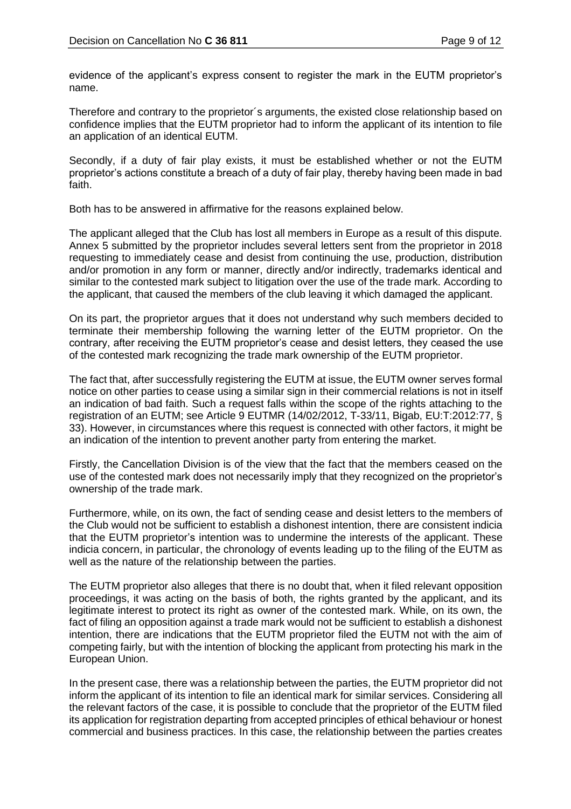evidence of the applicant's express consent to register the mark in the EUTM proprietor's name.

Therefore and contrary to the proprietor´s arguments, the existed close relationship based on confidence implies that the EUTM proprietor had to inform the applicant of its intention to file an application of an identical EUTM.

Secondly, if a duty of fair play exists, it must be established whether or not the EUTM proprietor's actions constitute a breach of a duty of fair play, thereby having been made in bad faith.

Both has to be answered in affirmative for the reasons explained below.

The applicant alleged that the Club has lost all members in Europe as a result of this dispute. Annex 5 submitted by the proprietor includes several letters sent from the proprietor in 2018 requesting to immediately cease and desist from continuing the use, production, distribution and/or promotion in any form or manner, directly and/or indirectly, trademarks identical and similar to the contested mark subject to litigation over the use of the trade mark. According to the applicant, that caused the members of the club leaving it which damaged the applicant.

On its part, the proprietor argues that it does not understand why such members decided to terminate their membership following the warning letter of the EUTM proprietor. On the contrary, after receiving the EUTM proprietor's cease and desist letters, they ceased the use of the contested mark recognizing the trade mark ownership of the EUTM proprietor.

The fact that, after successfully registering the EUTM at issue, the EUTM owner serves formal notice on other parties to cease using a similar sign in their commercial relations is not in itself an indication of bad faith. Such a request falls within the scope of the rights attaching to the registration of an EUTM; see Article 9 EUTMR (14/02/2012, T-33/11, Bigab, EU:T:2012:77, § 33). However, in circumstances where this request is connected with other factors, it might be an indication of the intention to prevent another party from entering the market.

Firstly, the Cancellation Division is of the view that the fact that the members ceased on the use of the contested mark does not necessarily imply that they recognized on the proprietor's ownership of the trade mark.

Furthermore, while, on its own, the fact of sending cease and desist letters to the members of the Club would not be sufficient to establish a dishonest intention, there are consistent indicia that the EUTM proprietor's intention was to undermine the interests of the applicant. These indicia concern, in particular, the chronology of events leading up to the filing of the EUTM as well as the nature of the relationship between the parties.

The EUTM proprietor also alleges that there is no doubt that, when it filed relevant opposition proceedings, it was acting on the basis of both, the rights granted by the applicant, and its legitimate interest to protect its right as owner of the contested mark. While, on its own, the fact of filing an opposition against a trade mark would not be sufficient to establish a dishonest intention, there are indications that the EUTM proprietor filed the EUTM not with the aim of competing fairly, but with the intention of blocking the applicant from protecting his mark in the European Union.

In the present case, there was a relationship between the parties, the EUTM proprietor did not inform the applicant of its intention to file an identical mark for similar services. Considering all the relevant factors of the case, it is possible to conclude that the proprietor of the EUTM filed its application for registration departing from accepted principles of ethical behaviour or honest commercial and business practices. In this case, the relationship between the parties creates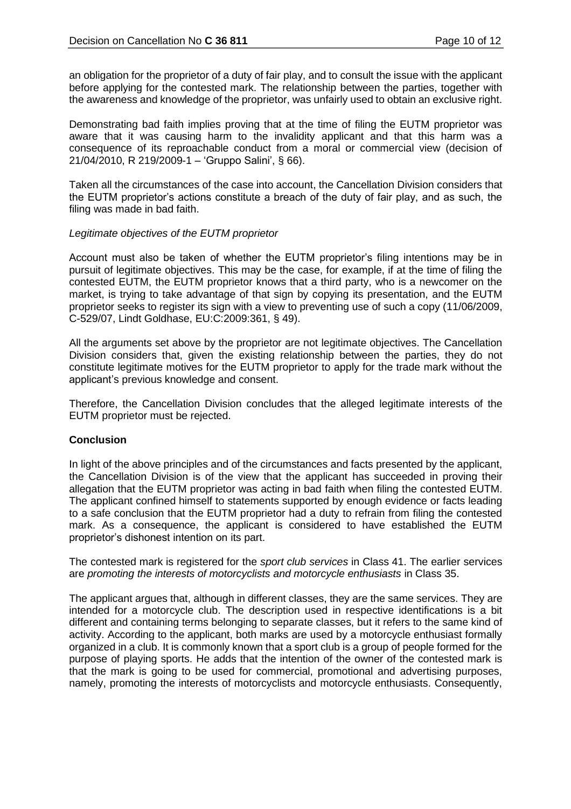an obligation for the proprietor of a duty of fair play, and to consult the issue with the applicant before applying for the contested mark. The relationship between the parties, together with the awareness and knowledge of the proprietor, was unfairly used to obtain an exclusive right.

Demonstrating bad faith implies proving that at the time of filing the EUTM proprietor was aware that it was causing harm to the invalidity applicant and that this harm was a consequence of its reproachable conduct from a moral or commercial view (decision of 21/04/2010, R 219/2009-1 – 'Gruppo Salini', § 66).

Taken all the circumstances of the case into account, the Cancellation Division considers that the EUTM proprietor's actions constitute a breach of the duty of fair play, and as such, the filing was made in bad faith.

## *Legitimate objectives of the EUTM proprietor*

Account must also be taken of whether the EUTM proprietor's filing intentions may be in pursuit of legitimate objectives. This may be the case, for example, if at the time of filing the contested EUTM, the EUTM proprietor knows that a third party, who is a newcomer on the market, is trying to take advantage of that sign by copying its presentation, and the EUTM proprietor seeks to register its sign with a view to preventing use of such a copy (11/06/2009, C-529/07, Lindt Goldhase, EU:C:2009:361, § 49).

All the arguments set above by the proprietor are not legitimate objectives. The Cancellation Division considers that, given the existing relationship between the parties, they do not constitute legitimate motives for the EUTM proprietor to apply for the trade mark without the applicant's previous knowledge and consent.

Therefore, the Cancellation Division concludes that the alleged legitimate interests of the EUTM proprietor must be rejected.

## **Conclusion**

In light of the above principles and of the circumstances and facts presented by the applicant, the Cancellation Division is of the view that the applicant has succeeded in proving their allegation that the EUTM proprietor was acting in bad faith when filing the contested EUTM. The applicant confined himself to statements supported by enough evidence or facts leading to a safe conclusion that the EUTM proprietor had a duty to refrain from filing the contested mark. As a consequence, the applicant is considered to have established the EUTM proprietor's dishonest intention on its part.

The contested mark is registered for the *sport club services* in Class 41. The earlier services are *promoting the interests of motorcyclists and motorcycle enthusiasts* in Class 35.

The applicant argues that, although in different classes, they are the same services. They are intended for a motorcycle club. The description used in respective identifications is a bit different and containing terms belonging to separate classes, but it refers to the same kind of activity. According to the applicant, both marks are used by a motorcycle enthusiast formally organized in a club. It is commonly known that a sport club is a group of people formed for the purpose of playing sports. He adds that the intention of the owner of the contested mark is that the mark is going to be used for commercial, promotional and advertising purposes, namely, promoting the interests of motorcyclists and motorcycle enthusiasts. Consequently,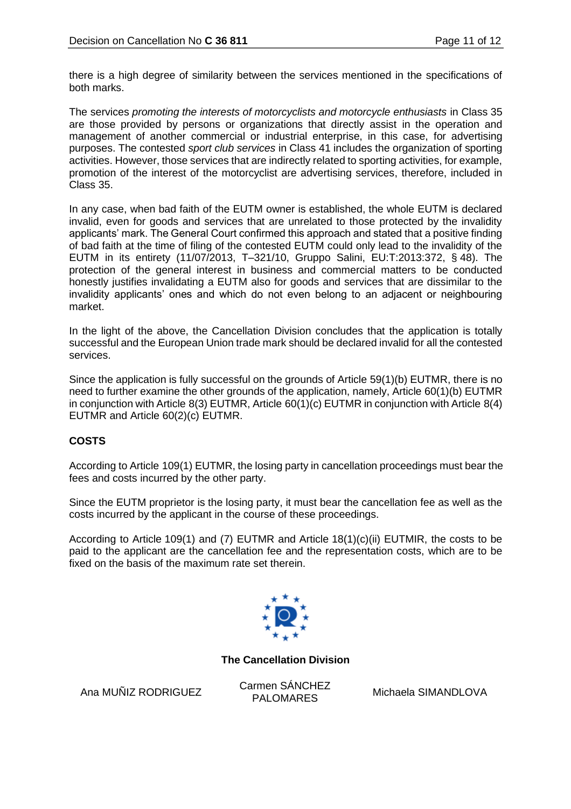there is a high degree of similarity between the services mentioned in the specifications of both marks.

The services *promoting the interests of motorcyclists and motorcycle enthusiasts* in Class 35 are those provided by persons or organizations that directly assist in the operation and management of another commercial or industrial enterprise, in this case, for advertising purposes. The contested *sport club services* in Class 41 includes the organization of sporting activities. However, those services that are indirectly related to sporting activities, for example, promotion of the interest of the motorcyclist are advertising services, therefore, included in Class 35.

In any case, when bad faith of the EUTM owner is established, the whole EUTM is declared invalid, even for goods and services that are unrelated to those protected by the invalidity applicants' mark. The General Court confirmed this approach and stated that a positive finding of bad faith at the time of filing of the contested EUTM could only lead to the invalidity of the EUTM in its entirety (11/07/2013, T–321/10, Gruppo Salini, EU:T:2013:372, § 48). The protection of the general interest in business and commercial matters to be conducted honestly justifies invalidating a EUTM also for goods and services that are dissimilar to the invalidity applicants' ones and which do not even belong to an adjacent or neighbouring market.

In the light of the above, the Cancellation Division concludes that the application is totally successful and the European Union trade mark should be declared invalid for all the contested services.

Since the application is fully successful on the grounds of Article 59(1)(b) EUTMR, there is no need to further examine the other grounds of the application, namely, Article 60(1)(b) EUTMR in conjunction with Article 8(3) EUTMR, Article 60(1)(c) EUTMR in conjunction with Article 8(4) EUTMR and Article 60(2)(c) EUTMR.

# **COSTS**

According to Article 109(1) EUTMR, the losing party in cancellation proceedings must bear the fees and costs incurred by the other party.

Since the EUTM proprietor is the losing party, it must bear the cancellation fee as well as the costs incurred by the applicant in the course of these proceedings.

According to Article 109(1) and (7) EUTMR and Article 18(1)(c)(ii) EUTMIR, the costs to be paid to the applicant are the cancellation fee and the representation costs, which are to be fixed on the basis of the maximum rate set therein.



## **The Cancellation Division**

Ana MUÑIZ RODRIGUEZ<br>PALOMARES

Michaela SIMANDLOVA